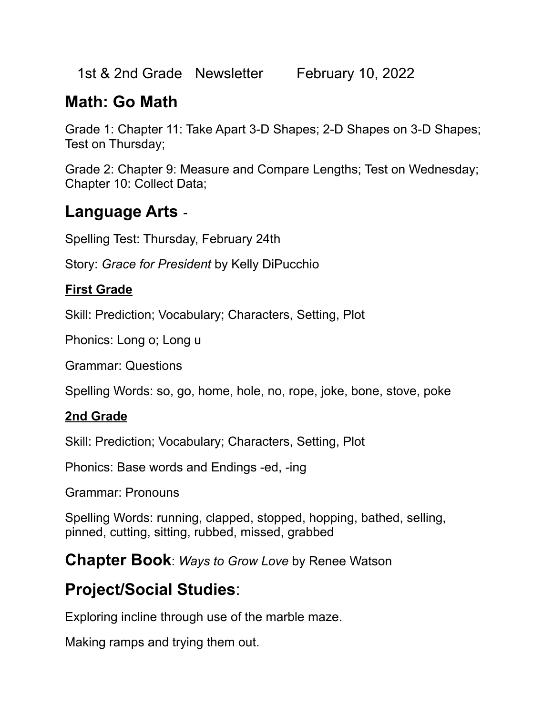1st & 2nd Grade Newsletter February 10, 2022

## **Math: Go Math**

Grade 1: Chapter 11: Take Apart 3-D Shapes; 2-D Shapes on 3-D Shapes; Test on Thursday;

Grade 2: Chapter 9: Measure and Compare Lengths; Test on Wednesday; Chapter 10: Collect Data;

### **Language Arts** -

Spelling Test: Thursday, February 24th

Story: *Grace for President* by Kelly DiPucchio

### **First Grade**

Skill: Prediction; Vocabulary; Characters, Setting, Plot

Phonics: Long o; Long u

Grammar: Questions

Spelling Words: so, go, home, hole, no, rope, joke, bone, stove, poke

### **2nd Grade**

Skill: Prediction; Vocabulary; Characters, Setting, Plot

Phonics: Base words and Endings -ed, -ing

Grammar: Pronouns

Spelling Words: running, clapped, stopped, hopping, bathed, selling, pinned, cutting, sitting, rubbed, missed, grabbed

**Chapter Book**: *Ways to Grow Love* by Renee Watson

# **Project/Social Studies**:

Exploring incline through use of the marble maze.

Making ramps and trying them out.